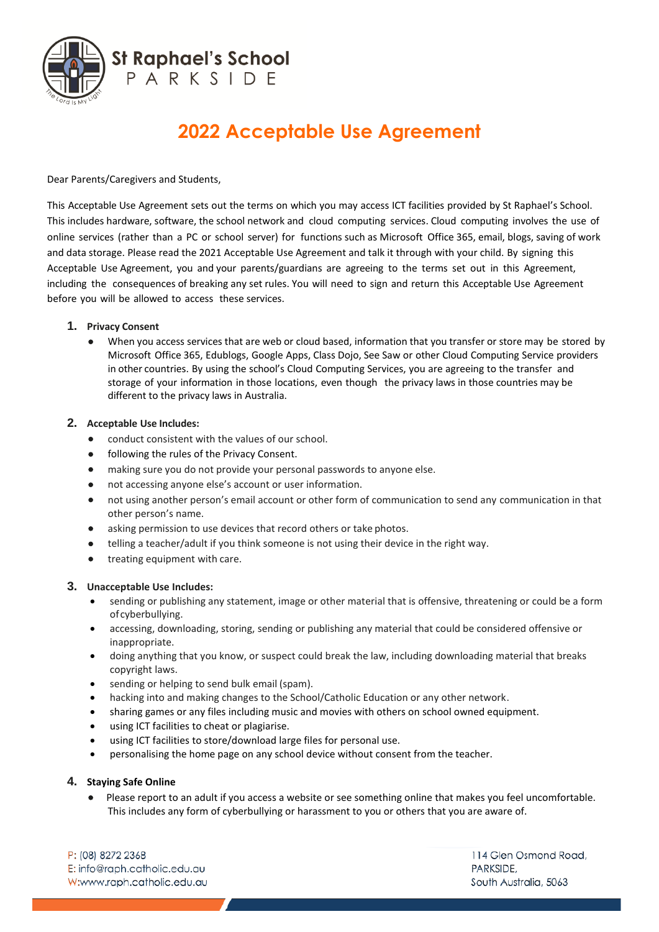

# **2022 Acceptable Use Agreement**

Dear Parents/Caregivers and Students,

This Acceptable Use Agreement sets out the terms on which you may access ICT facilities provided by St Raphael's School. This includes hardware, software, the school network and cloud computing services. Cloud computing involves the use of online services (rather than a PC or school server) for functions such as Microsoft Office 365, email, blogs, saving of work and data storage. Please read the 2021 Acceptable Use Agreement and talk it through with your child. By signing this Acceptable Use Agreement, you and your parents/guardians are agreeing to the terms set out in this Agreement, including the consequences of breaking any set rules. You will need to sign and return this Acceptable Use Agreement before you will be allowed to access these services.

## **1. Privacy Consent**

• When you access services that are web or cloud based, information that you transfer or store may be stored by Microsoft Office 365, Edublogs, Google Apps, Class Dojo, See Saw or other Cloud Computing Service providers in other countries. By using the school's Cloud Computing Services, you are agreeing to the transfer and storage of your information in those locations, even though the privacy laws in those countries may be different to the privacy laws in Australia.

## **2. Acceptable Use Includes:**

- conduct consistent with the values of our school.
- following the rules of the Privacy Consent.
- making sure you do not provide your personal passwords to anyone else.
- not accessing anyone else's account or user information.
- not using another person's email account or other form of communication to send any communication in that other person's name.
- asking permission to use devices that record others or take photos.
- telling a teacher/adult if you think someone is not using their device in the right way.
- treating equipment with care.

#### **3. Unacceptable Use Includes:**

- sending or publishing any statement, image or other material that is offensive, threatening or could be a form ofcyberbullying.
- accessing, downloading, storing, sending or publishing any material that could be considered offensive or inappropriate.
- doing anything that you know, or suspect could break the law, including downloading material that breaks copyright laws.
- sending or helping to send bulk email (spam).
- hacking into and making changes to the School/Catholic Education or any other network.
- sharing games or any files including music and movies with others on school owned equipment.
- using ICT facilities to cheat or plagiarise.
- using ICT facilities to store/download large files for personal use.
- personalising the home page on any school device without consent from the teacher.

# **4. Staying Safe Online**

• Please report to an adult if you access a website or see something online that makes you feel uncomfortable. This includes any form of cyberbullying or harassment to you or others that you are aware of.

P: (08) 8272 2368 E: info@raph.catholic.edu.au W:www.raph.catholic.edu.au

114 Glen Osmond Road, PARKSIDE. South Australia, 5063